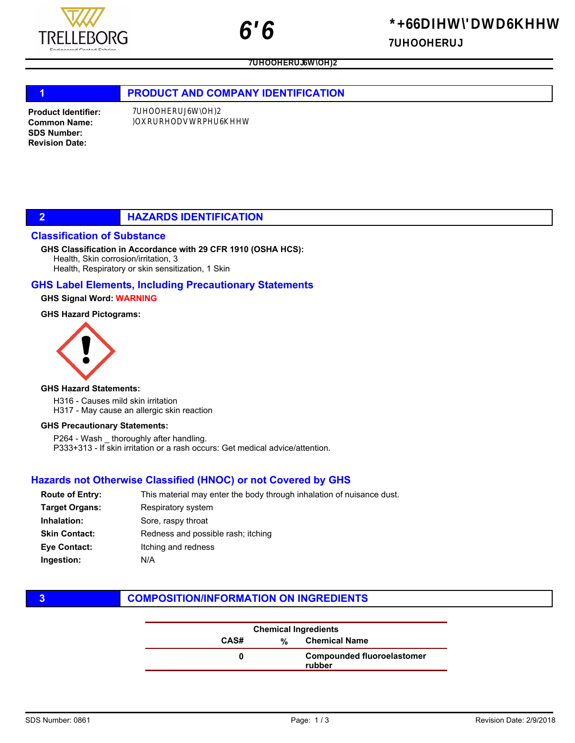# $j$ Rj UWj)jx )Rx $x$ )j

k y

# 1 **PRODUCT AND COMPANY IDENTIFICATION**

Product Identifier: Common Name: SDS Number: Revision Date:

## 2 **HAZARDS IDENTIFICATION**

#### Classification of Substance

#### GHS Classification in Accordance with 29 CFR 1910 (OSHA HCS):

Health, Skin corrosion/irritation, 3 Health, Respiratory or skin sensitization, 1 Skin

#### GHS Label Elements, Including Precautionary Statements

#### GHS Signal Word: WARNING

#### GHS Hazard Pictograms:



#### GHS Hazard Statements:

H316 - Causes mild skin irritation H317 - May cause an allergic skin reaction

#### GHS Precautionary Statements:

P264 - Wash thoroughly after handling. P333+313 - If skin irritation or a rash occurs: Get medical advice/attention.

### Hazards not Otherwise Classified (HNOC) or not Covered by GHS

| <b>Route of Entry:</b> | This material may enter the body through inhalation of nuisance dust. |
|------------------------|-----------------------------------------------------------------------|
| <b>Target Organs:</b>  | Respiratory system                                                    |
| Inhalation:            | Sore, raspy throat                                                    |
| <b>Skin Contact:</b>   | Redness and possible rash; itching                                    |
| <b>Eye Contact:</b>    | Itching and redness                                                   |
| Ingestion:             | N/A                                                                   |

# **3 COMPOSITION/INFORMATION ON INGREDIENTS**

| <b>Chemical Ingredients</b> |   |                                             |
|-----------------------------|---|---------------------------------------------|
| CAS#                        | % | <b>Chemical Name</b>                        |
|                             |   | <b>Compounded fluoroelastomer</b><br>rubber |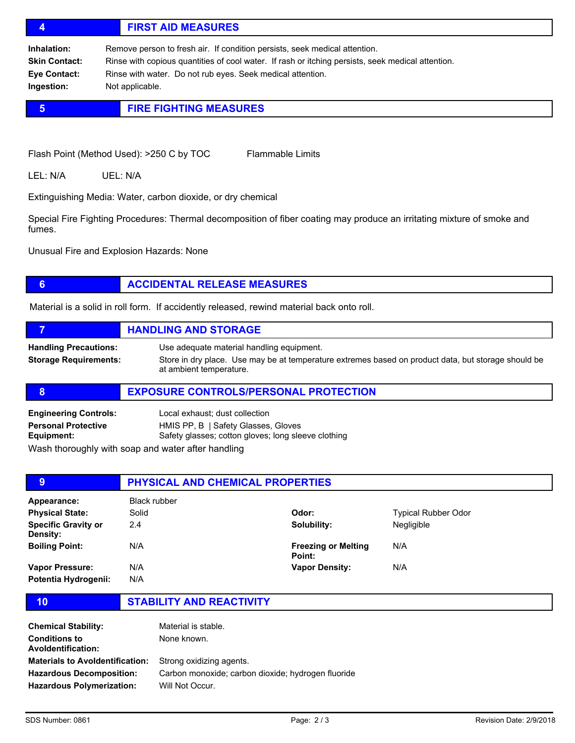# 4 FIRST AID MEASURES

Inhalation: Remove person to fresh air. If condition persists, seek medical attention. Skin Contact: Rinse with copious quantities of cool water. If rash or itching persists, seek medical attention. Eye Contact: Rinse with water. Do not rub eyes. Seek medical attention. Ingestion: Not applicable.

# **5 FIRE FIGHTING MEASURES**

Flash Point (Method Used): >250 C by TOC Flammable Limits

LEL: N/A UEL: N/A

Extinguishing Media: Water, carbon dioxide, or dry chemical

Special Fire Fighting Procedures: Thermal decomposition of fiber coating may produce an irritating mixture of smoke and fumes.

Unusual Fire and Explosion Hazards: None

# **6 ACCIDENTAL RELEASE MEASURES**

Material is a solid in roll form. If accidently released, rewind material back onto roll.

|                                                              | <b>HANDLING AND STORAGE</b>                                                                                                                                                 |
|--------------------------------------------------------------|-----------------------------------------------------------------------------------------------------------------------------------------------------------------------------|
| <b>Handling Precautions:</b><br><b>Storage Requirements:</b> | Use adequate material handling equipment.<br>Store in dry place. Use may be at temperature extremes based on product data, but storage should be<br>at ambient temperature. |

#### 8 **EXPOSURE CONTROLS/PERSONAL PROTECTION**

| <b>Engineering Controls:</b>                                                                                   | Local exhaust; dust collection                      |
|----------------------------------------------------------------------------------------------------------------|-----------------------------------------------------|
| <b>Personal Protective</b>                                                                                     | HMIS PP, B   Safety Glasses, Gloves                 |
| Equipment:                                                                                                     | Safety glasses; cotton gloves; long sleeve clothing |
| 1874 - El alban estadunio de la constitución estadunidades de la constitución de la constitución de la constit |                                                     |

Wash thoroughly with soap and water after handling

| 9                                             | <b>PHYSICAL AND CHEMICAL PROPERTIES</b> |                                      |                            |  |
|-----------------------------------------------|-----------------------------------------|--------------------------------------|----------------------------|--|
| Appearance:                                   | Black rubber                            |                                      |                            |  |
| <b>Physical State:</b>                        | Solid                                   | Odor:                                | <b>Typical Rubber Odor</b> |  |
| <b>Specific Gravity or</b><br><b>Density:</b> | 2.4                                     | Solubility:                          | Negligible                 |  |
| <b>Boiling Point:</b>                         | N/A                                     | <b>Freezing or Melting</b><br>Point: | N/A                        |  |
| Vapor Pressure:                               | N/A                                     | <b>Vapor Density:</b>                | N/A                        |  |
| Potentia Hydrogenii:                          | N/A                                     |                                      |                            |  |

10 STABILITY AND REACTIVITY

| <b>Chemical Stability:</b><br><b>Conditions to</b><br><b>Avoldentification:</b> | Material is stable.<br>None known.                                    |
|---------------------------------------------------------------------------------|-----------------------------------------------------------------------|
| <b>Materials to Avoldentification:</b>                                          | Strong oxidizing agents.                                              |
| <b>Hazardous Decomposition:</b><br><b>Hazardous Polymerization:</b>             | Carbon monoxide; carbon dioxide; hydrogen fluoride<br>Will Not Occur. |